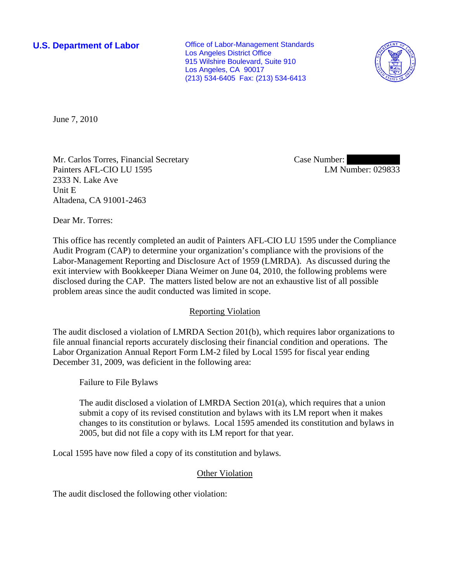**U.S. Department of Labor Conservative Conservative Conservative Conservative Conservative Conservative Conservative Conservative Conservative Conservative Conservative Conservative Conservative Conservative Conservative** Los Angeles District Office 915 Wilshire Boulevard, Suite 910 Los Angeles, CA 90017 (213) 534-6405 Fax: (213) 534-6413



June 7, 2010

Mr. Carlos Torres, Financial Secretary Painters AFL-CIO LU 1595 2333 N. Lake Ave Unit E Altadena, CA 91001-2463

Case Number: LM Number: 029833

Dear Mr. Torres:

This office has recently completed an audit of Painters AFL-CIO LU 1595 under the Compliance Audit Program (CAP) to determine your organization's compliance with the provisions of the Labor-Management Reporting and Disclosure Act of 1959 (LMRDA). As discussed during the exit interview with Bookkeeper Diana Weimer on June 04, 2010, the following problems were disclosed during the CAP. The matters listed below are not an exhaustive list of all possible problem areas since the audit conducted was limited in scope.

## Reporting Violation

The audit disclosed a violation of LMRDA Section 201(b), which requires labor organizations to file annual financial reports accurately disclosing their financial condition and operations. The Labor Organization Annual Report Form LM-2 filed by Local 1595 for fiscal year ending December 31, 2009, was deficient in the following area:

Failure to File Bylaws

The audit disclosed a violation of LMRDA Section 201(a), which requires that a union submit a copy of its revised constitution and bylaws with its LM report when it makes changes to its constitution or bylaws. Local 1595 amended its constitution and bylaws in 2005, but did not file a copy with its LM report for that year.

Local 1595 have now filed a copy of its constitution and bylaws.

## Other Violation

The audit disclosed the following other violation: